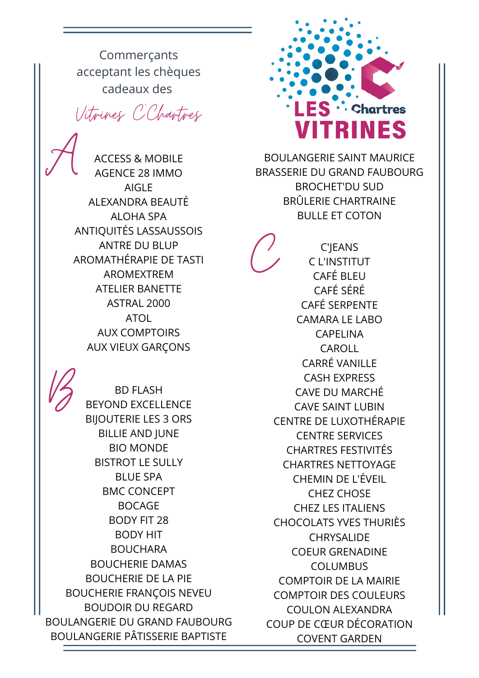Commerçants acceptant les chèques cadeaux des

Vitrines C'Chartres

A ACCESS & MOBILE AGENCE 28 IMMO AIGLE ALEXANDRA BEAUTÉ ALOHA SPA ANTIQUITÉS LASSAUSSOIS ANTRE DU BLUP AROMATHÉRAPIE DE TASTI AROMEXTREM ATELIER BANETTE ASTRAL 2000 ATOL AUX COMPTOIRS AUX VIEUX GARÇONS



BD FLASH<br>BEYOND EXCELLENCE<br>BIJOUTERIE LES 3 ORS BEYOND EXCELLENCE BILLIE AND JUNE BIO MONDE BISTROT LE SULLY BLUE SPA BMC CONCEPT BOCAGE BODY FIT 28 BODY HIT BOUCHARA BOUCHERIE DAMAS BOUCHERIE DE LA PIE BOUCHERIE FRANÇOIS NEVEU BOUDOIR DU REGARD BOULANGERIE DU GRAND FAUBOURG BOULANGERIE PÂTISSERIE BAPTISTE



BOULANGERIE SAINT MAURICE BRASSERIE DU GRAND FAUBOURG BROCHET'DU SUD BRÛLERIE CHARTRAINE BULLE ET COTON

 $\mathcal{C}$ C'JEANS C L'INSTITUT CAFÉ BLEU CAFÉ SÉRÉ CAFÉ SERPENTE CAMARA LE LABO CAPELINA CAROLL CARRÉ VANILLE CASH EXPRESS CAVE DU MARCHÉ CAVE SAINT LUBIN CENTRE DE LUXOTHÉRAPIE CENTRE SERVICES CHARTRES FESTIVITÉS CHARTRES NETTOYAGE CHEMIN DE L'ÉVEIL CHEZ CHOSE CHEZ LES ITALIENS CHOCOLATS YVES THURIÈS **CHRYSALIDE** COEUR GRENADINE COLUMBUS COMPTOIR DE LA MAIRIE COMPTOIR DES COULEURS COULON ALEXANDRA COUP DE CŒUR DÉCORATION COVENT GARDEN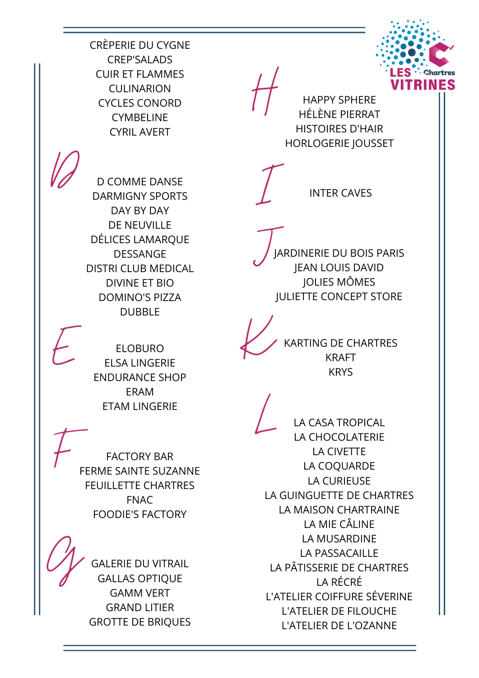

CRÈPERIE DU CYGNE CREP'SALADS CUIR ET FLAMMES CULINARION CYCLES CONORD **CYMBELINE** CYRIL AVERT

HAPPY SPHERE HISTOIRES D'HAIR HORLOGERIE JOUSSET

D COMME DANSE DARMIGNY SPORTS DAY BY DAY DE NEUVILLE DÉLICES LAMARQUE DESSANGE DISTRI CLUB MEDICAL DIVINE ET BIO DOMINO'S PIZZA DUBBLE

JARDINERIE DU BOIS PARIS JEAN LOUIS DAVID JOLIES MÔMES JULIETTE CONCEPT STORE

 $\sum$  INTER CAVES

ELOBURO<br>ELSA LINGERIE<br>ENDURANCE SHOP ELSA LINGERIE ERAM ETAM LINGERIE

FACTORY BAR
FERME SAINTE SUZANNE FEUILLETTE CHARTRES FNAC FOODIE'S FACTORY

> **GALERIE DU VITRAIL** GALLAS OPTIQUE GAMM VERT GRAND LITIER GROTTE DE BRIQUES

KARTING DE CHARTRES KRAFT **KRYS** 

LA CASA TROPICAL LA CHOCOLATERIE LA CIVETTE LA COQUARDE LA CURIEUSE LA GUINGUETTE DE CHARTRES LA MAISON CHARTRAINE LA MIE CÂLINE LA MUSARDINE LA PASSACAILLE LA PÂTISSERIE DE CHARTRES LA RÉCRÉ L'ATELIER COIFFURE SÉVERINE L'ATELIER DE FILOUCHE L'ATELIER DE L'OZANNE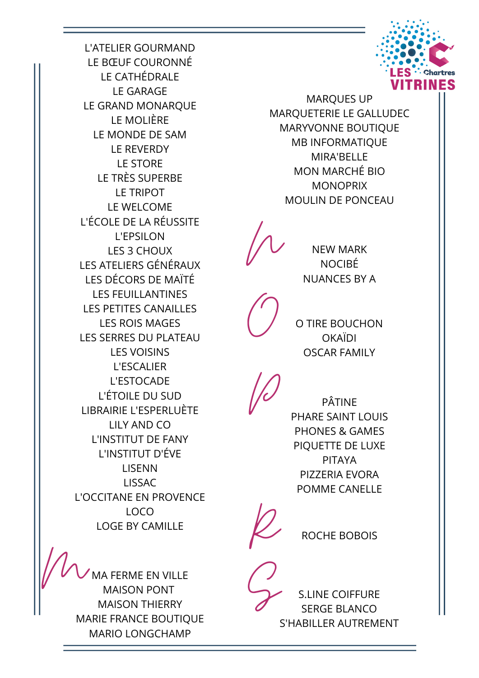

L'ATELIER GOURMAND LE BŒUF COURONNÉ LE CATHÉDRALE LE GARAGE LE GRAND MONARQUE LE MOLIÈRE LE MONDE DE SAM LE REVERDY LE STORE LE TRÈS SUPERBE LE TRIPOT LE WELCOME L'ÉCOLE DE LA RÉUSSITE L'EPSILON LES 3 CHOUX LES ATELIERS GÉNÉRAUX LES DÉCORS DE MAÏTÉ LES FEUILLANTINES LES PETITES CANAILLES LES ROIS MAGES LES SERRES DU PLATEAU LES VOISINS L'ESCALIER L'ESTOCADE L'ÉTOILE DU SUD LIBRAIRIE L'ESPERLUÈTE LILY AND CO L'INSTITUT DE FANY L'INSTITUT D'ÉVE LISENN LISSAC L'OCCITANE EN PROVENCE LOCO LOGE BY CAMILLE

MA FERME EN VILLE MAISON PONT MAISON THIERRY MARIE FRANCE BOUTIQUE MARIO LONGCHAMP

MARQUES UP MARQUETERIE LE GALLUDEC MARYVONNE BOUTIQUE MB INFORMATIQUE MIRA'BELLE MON MARCHÉ BIO **MONOPRIX** MOULIN DE PONCEAU

**WEW MARK** NOCIBÉ NUANCES BY A

> O <sup>O</sup> TIRE BOUCHON **OKAÏDI** OSCAR FAMILY

PÂTINE PHARE SAINT LOUIS PHONES & GAMES PIQUETTE DE LUXE PITAYA PIZZERIA EVORA POMME CANELLE

**P** ROCHE BOBOIS

S.LINE COIFFURE SERGE BLANCO S'HABILLER AUTREMENT